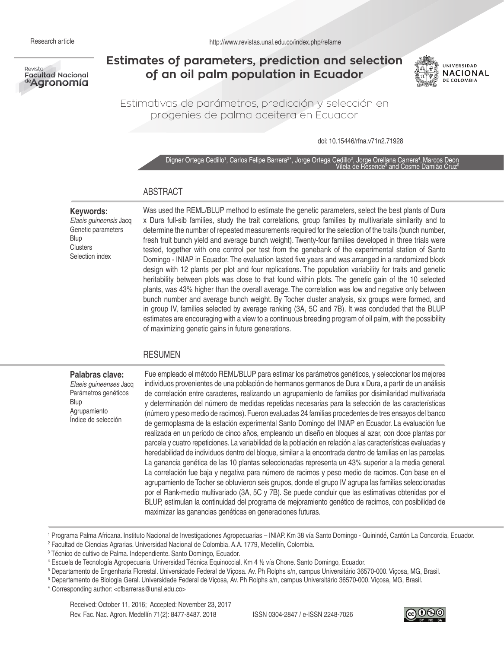

# **Estimates of parameters, prediction and selection of an oil palm population in Ecuador**



Estimativas de parámetros, predicción y selección en progenies de palma aceitera en Ecuador

doi: 10.15446/rfna.v71n2.71928

Digner Ortega Cedillo1, Carlos Felipe Barrera<sup>2\*</sup>, Jorge Ortega Cedillo<sup>3</sup>, Jorge Orellana Carrera4, Marcos Deon Vilela de Resende<sup>5</sup> and Cosme Damião Cruz<sup>e</sup>

# ABSTRACT

#### **Keywords:**

*Elaeis guineensis* Jacq Genetic parameters Blup **Clusters** Selection index

Was used the REML/BLUP method to estimate the genetic parameters, select the best plants of Dura x Dura full-sib families, study the trait correlations, group families by multivariate similarity and to determine the number of repeated measurements required for the selection of the traits (bunch number, fresh fruit bunch yield and average bunch weight). Twenty-four families developed in three trials were tested, together with one control per test from the genebank of the experimental station of Santo Domingo - INIAP in Ecuador. The evaluation lasted five years and was arranged in a randomized block design with 12 plants per plot and four replications. The population variability for traits and genetic heritability between plots was close to that found within plots. The genetic gain of the 10 selected plants, was 43% higher than the overall average. The correlation was low and negative only between bunch number and average bunch weight. By Tocher cluster analysis, six groups were formed, and in group IV, families selected by average ranking (3A, 5C and 7B). It was concluded that the BLUP estimates are encouraging with a view to a continuous breeding program of oil palm, with the possibility of maximizing genetic gains in future generations.

## RESUMEN

#### **Palabras clave:**  *Elaeis guineenses* Jacq Parámetros genéticos Blup Agrupamiento Índice de selección

Fue empleado el método REML/BLUP para estimar los parámetros genéticos, y seleccionar los mejores individuos provenientes de una población de hermanos germanos de Dura x Dura, a partir de un análisis de correlación entre caracteres, realizando un agrupamiento de familias por disimilaridad multivariada y determinación del número de medidas repetidas necesarias para la selección de las características (número y peso medio de racimos). Fueron evaluadas 24 familias procedentes de tres ensayos del banco de germoplasma de la estación experimental Santo Domingo del INIAP en Ecuador. La evaluación fue realizada en un periodo de cinco años, empleando un diseño en bloques al azar, con doce plantas por parcela y cuatro repeticiones. La variabilidad de la población en relación a las características evaluadas y heredabilidad de individuos dentro del bloque, similar a la encontrada dentro de familias en las parcelas. La ganancia genética de las 10 plantas seleccionadas representa un 43% superior a la media general. La correlación fue baja y negativa para número de racimos y peso medio de racimos. Con base en el agrupamiento de Tocher se obtuvieron seis grupos, donde el grupo IV agrupa las familias seleccionadas por el Rank-medio multivariado (3A, 5C y 7B). Se puede concluir que las estimativas obtenidas por el BLUP, estimulan la continuidad del programa de mejoramiento genético de racimos, con posibilidad de maximizar las ganancias genéticas en generaciones futuras.

1 Programa Palma Africana. Instituto Nacional de Investigaciones Agropecuarias – INIAP. Km 38 vía Santo Domingo - Quinindé, Cantón La Concordia, Ecuador.

2 Facultad de Ciencias Agrarias. Universidad Nacional de Colombia. A.A. 1779, Medellín, Colombia.

3 Técnico de cultivo de Palma. Independiente. Santo Domingo, Ecuador.

4 Escuela de Tecnología Agropecuaria. Universidad Técnica Equinoccial. Km 4 ½ vía Chone. Santo Domingo, Ecuador.

5 Departamento de Engenharia Florestal. Universidade Federal de Viçosa. Av. Ph Rolphs s/n, campus Universitário 36570-000. Viçosa, MG, Brasil.

6 Departamento de Biologia Geral. Universidade Federal de Viçosa, Av. Ph Rolphs s/n, campus Universitário 36570-000. Viçosa, MG, Brasil.

\* Corresponding author: <cfbarreras@unal.edu.co>

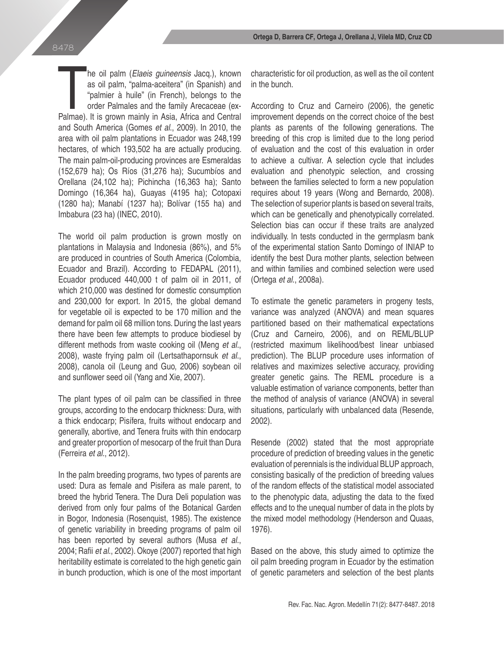he oil palm (*Elaeis guineensis* Jacq.), known<br>as oil palm, "palma-aceitera" (in Spanish) and<br>"palmier à huile" (in French), belongs to the<br>order Palmales and the family Arecaceae (ex-<br>Palmae). It is grown mainly in Asia, he oil palm (*Elaeis guineensis* Jacq.), known as oil palm, "palma-aceitera" (in Spanish) and "palmier à huile" (in French), belongs to the order Palmales and the family Arecaceae (exand South America (Gomes *et al*., 2009). In 2010, the area with oil palm plantations in Ecuador was 248,199 hectares, of which 193,502 ha are actually producing. The main palm-oil-producing provinces are Esmeraldas (152,679 ha); Os Ríos (31,276 ha); Sucumbíos and Orellana (24,102 ha); Pichincha (16,363 ha); Santo Domingo (16,364 ha), Guayas (4195 ha); Cotopaxi (1280 ha); Manabí (1237 ha); Bolívar (155 ha) and Imbabura (23 ha) (INEC, 2010).

The world oil palm production is grown mostly on plantations in Malaysia and Indonesia (86%), and 5% are produced in countries of South America (Colombia, Ecuador and Brazil). According to FEDAPAL (2011), Ecuador produced 440,000 t of palm oil in 2011, of which 210,000 was destined for domestic consumption and 230,000 for export. In 2015, the global demand for vegetable oil is expected to be 170 million and the demand for palm oil 68 million tons. During the last years there have been few attempts to produce biodiesel by different methods from waste cooking oil (Meng *et al.*, 2008), waste frying palm oil (Lertsathapornsuk *et al*., 2008), canola oil (Leung and Guo, 2006) soybean oil and sunflower seed oil (Yang and Xie, 2007).

The plant types of oil palm can be classified in three groups, according to the endocarp thickness: Dura, with a thick endocarp; Pisífera, fruits without endocarp and generally, abortive, and Tenera fruits with thin endocarp and greater proportion of mesocarp of the fruit than Dura (Ferreira *et al*., 2012).

In the palm breeding programs, two types of parents are used: Dura as female and Pisifera as male parent, to breed the hybrid Tenera. The Dura Deli population was derived from only four palms of the Botanical Garden in Bogor, Indonesia (Rosenquist, 1985). The existence of genetic variability in breeding programs of palm oil has been reported by several authors (Musa *et al*., 2004; Rafii *et al*., 2002). Okoye (2007) reported that high heritability estimate is correlated to the high genetic gain in bunch production, which is one of the most important characteristic for oil production, as well as the oil content in the bunch.

According to Cruz and Carneiro (2006), the genetic improvement depends on the correct choice of the best plants as parents of the following generations. The breeding of this crop is limited due to the long period of evaluation and the cost of this evaluation in order to achieve a cultivar. A selection cycle that includes evaluation and phenotypic selection, and crossing between the families selected to form a new population requires about 19 years (Wong and Bernardo, 2008). The selection of superior plants is based on several traits, which can be genetically and phenotypically correlated. Selection bias can occur if these traits are analyzed individually. In tests conducted in the germplasm bank of the experimental station Santo Domingo of INIAP to identify the best Dura mother plants, selection between and within families and combined selection were used (Ortega *et al*., 2008a).

To estimate the genetic parameters in progeny tests, variance was analyzed (ANOVA) and mean squares partitioned based on their mathematical expectations (Cruz and Carneiro, 2006), and on REML/BLUP (restricted maximum likelihood/best linear unbiased prediction). The BLUP procedure uses information of relatives and maximizes selective accuracy, providing greater genetic gains. The REML procedure is a valuable estimation of variance components, better than the method of analysis of variance (ANOVA) in several situations, particularly with unbalanced data (Resende, 2002).

Resende (2002) stated that the most appropriate procedure of prediction of breeding values in the genetic evaluation of perennials is the individual BLUP approach, consisting basically of the prediction of breeding values of the random effects of the statistical model associated to the phenotypic data, adjusting the data to the fixed effects and to the unequal number of data in the plots by the mixed model methodology (Henderson and Quaas, 1976).

Based on the above, this study aimed to optimize the oil palm breeding program in Ecuador by the estimation of genetic parameters and selection of the best plants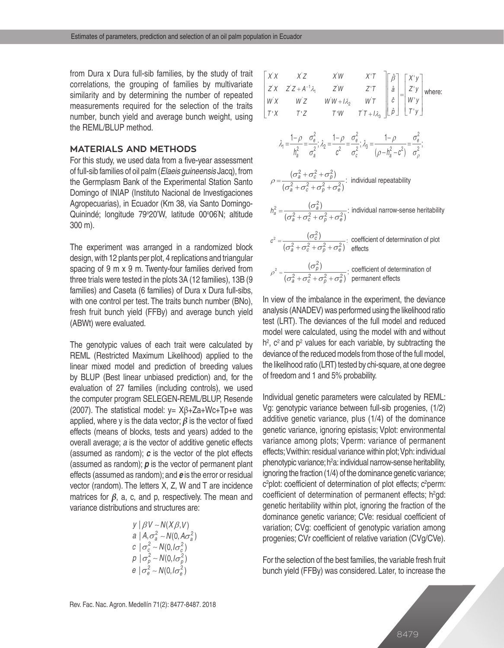from Dura x Dura full-sib families, by the study of trait correlations, the grouping of families by multivariate similarity and by determining the number of repeated measurements required for the selection of the traits number, bunch yield and average bunch weight, using the REML/BLUP method.

## **MATERIALS AND METHODS**

For this study, we used data from a five-year assessment of full-sib families of oil palm (*Elaeis guineensis* Jacq), from the Germplasm Bank of the Experimental Station Santo Domingo of INIAP (Instituto Nacional de Investigaciones Agropecuarias), in Ecuador (Km 38, via Santo Domingo-Quinindé; longitude 79°20'W, latitude 00°06'N; altitude 300 m).

The experiment was arranged in a randomized block design, with 12 plants per plot, 4 replications and triangular spacing of 9 m x 9 m. Twenty-four families derived from three trials were tested in the plots 3A (12 families), 13B (9 families) and Caseta (6 families) of Dura x Dura full-sibs, with one control per test. The traits bunch number (BNo), fresh fruit bunch yield (FFBy) and average bunch yield (ABWt) were evaluated.

The genotypic values of each trait were calculated by REML (Restricted Maximum Likelihood) applied to the linear mixed model and prediction of breeding values by BLUP (Best linear unbiased prediction) and, for the evaluation of 27 families (including controls), we used the computer program SELEGEN-REML/BLUP, Resende (2007). The statistical model: y= Xβ+Za+Wc+Tp+e was applied, where y is the data vector; *β* is the vector of fixed effects (means of blocks, tests and years) added to the overall average; *a* is the vector of additive genetic effects (assumed as random); *c* is the vector of the plot effects (assumed as random); *p* is the vector of permanent plant effects (assumed as random); and *e* is the error or residual vector (random). The letters X, Z, W and T are incidence matrices for *β*, a, c, and p, respectively. The mean and variance distributions and structures are:

y | 
$$
\beta V \sim N(X\beta, V)
$$
  
a |  $A, \sigma_a^2 \sim N(0, A\sigma_a^2)$   
c |  $\sigma_c^2 \sim N(0, I\sigma_c^2)$   
p |  $\sigma_p^2 \sim N(0, I\sigma_p^2)$   
e |  $\sigma_e^2 \sim N(0, I\sigma_e^2)$ 

$$
\begin{vmatrix}\nX & X & Z & X'W & X'T \\
Z'X & Z'Z + A^{-1}\lambda_1 & Z'W & Z'T & \hat{a} \\
W'X & W'Z & W'W + I\lambda_2 & W'T & \hat{c} \\
T'X & T'Z & T'W & T'T + I\lambda_3 & \hat{c} \\
Y'X & T'Z & T'W & T'T + I\lambda_3 & \hat{c} \\
\frac{1-\rho}{h_a^2} = \frac{\sigma_e^2}{\sigma_a^2}; \lambda_2 = \frac{1-\rho}{\sigma_e^2} = \frac{\sigma_e^2}{\sigma_c^2}; \lambda_3 = \frac{1-\rho}{(\rho - h_a^2 - c^2)} = \frac{\sigma_e^2}{\sigma_\rho^2};
$$
\n
$$
\rho = \frac{(\sigma_a^2 + \sigma_c^2 + \sigma_\rho^2)}{(\sigma_a^2 + \sigma_c^2 + \sigma_\rho^2 + \sigma_e^2)}; \text{ individual repeatability}
$$
\n
$$
h_a^2 = \frac{(\sigma_a^2)}{(\sigma_a^2 + \sigma_c^2 + \sigma_\rho^2 + \sigma_e^2)}; \text{ individual narrow-sense heritability}
$$
\n
$$
\sigma^2 = \frac{(\sigma_c^2)}{(\sigma_a^2 + \sigma_c^2 + \sigma_\rho^2 + \sigma_e^2)}; \text{ coefficient of determination of plot}
$$
\n
$$
\rho^2 = \frac{(\sigma_\rho^2)}{(\sigma_a^2 + \sigma_c^2 + \sigma_\rho^2 + \sigma_e^2)} \cdot \text{ coefficient of determination of}
$$

In view of the imbalance in the experiment, the deviance analysis (ANADEV) was performed using the likelihood ratio test (LRT). The deviances of the full model and reduced model were calculated, using the model with and without  $h^2$ ,  $c^2$  and  $p^2$  values for each variable, by subtracting the deviance of the reduced models from those of the full model, the likelihood ratio (LRT) tested by chi-square, at one degree of freedom and 1 and 5% probability.

Individual genetic parameters were calculated by REML: Vg: genotypic variance between full-sib progenies, (1/2) additive genetic variance, plus (1/4) of the dominance genetic variance, ignoring epistasis; Vplot: environmental variance among plots; Vperm: variance of permanent effects; Vwithin: residual variance within plot; Vph: individual phenotypic variance; h<sup>2</sup>a: individual narrow-sense heritability, ignoring the fraction (1/4) of the dominance genetic variance;  $c^2$ plot: coefficient of determination of plot effects;  $c^2$ perm: coefficient of determination of permanent effects;  $h^2$ gd: genetic heritability within plot, ignoring the fraction of the dominance genetic variance; CVe: residual coefficient of variation; CVg: coefficient of genotypic variation among progenies; CVr coefficient of relative variation (CVg/CVe).

For the selection of the best families, the variable fresh fruit bunch yield (FFBy) was considered. Later, to increase the

8479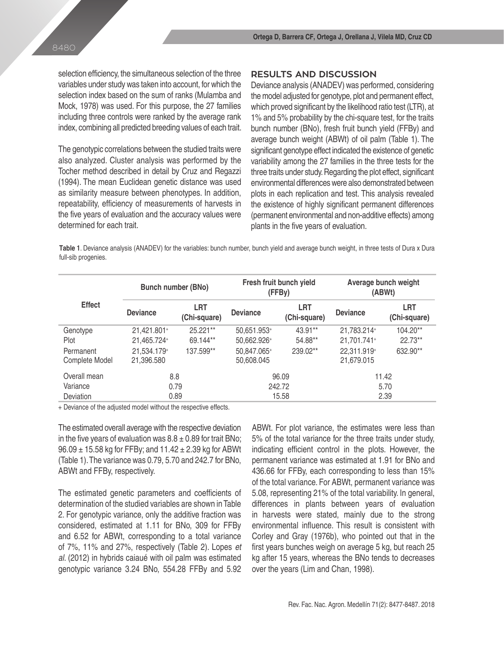selection efficiency, the simultaneous selection of the three variables under study was taken into account, for which the selection index based on the sum of ranks (Mulamba and Mock, 1978) was used. For this purpose, the 27 families including three controls were ranked by the average rank index, combining all predicted breeding values of each trait.

The genotypic correlations between the studied traits were also analyzed. Cluster analysis was performed by the Tocher method described in detail by Cruz and Regazzi (1994). The mean Euclidean genetic distance was used as similarity measure between phenotypes. In addition, repeatability, efficiency of measurements of harvests in the five years of evaluation and the accuracy values were determined for each trait.

## **RESULTS AND DISCUSSION**

Deviance analysis (ANADEV) was performed, considering the model adjusted for genotype, plot and permanent effect, which proved significant by the likelihood ratio test (LTR), at 1% and 5% probability by the chi-square test, for the traits bunch number (BNo), fresh fruit bunch yield (FFBy) and average bunch weight (ABWt) of oil palm (Table 1). The significant genotype effect indicated the existence of genetic variability among the 27 families in the three tests for the three traits under study. Regarding the plot effect, significant environmental differences were also demonstrated between plots in each replication and test. This analysis revealed the existence of highly significant permanent differences (permanent environmental and non-additive effects) among plants in the five years of evaluation.

**Table 1**. Deviance analysis (ANADEV) for the variables: bunch number, bunch yield and average bunch weight, in three tests of Dura x Dura full-sib progenies.

| <b>Effect</b>               |                           | <b>Bunch number (BNo)</b>  |                           | Fresh fruit bunch yield<br>(FFBy) | Average bunch weight<br>(ABWt) |                            |  |
|-----------------------------|---------------------------|----------------------------|---------------------------|-----------------------------------|--------------------------------|----------------------------|--|
|                             | <b>Deviance</b>           | <b>LRT</b><br>(Chi-square) | <b>Deviance</b>           | <b>LRT</b><br>(Chi-square)        | <b>Deviance</b>                | <b>LRT</b><br>(Chi-square) |  |
| Genotype                    | 21,421.801+               | 25.221**                   | 50,651.953+               | 43.91**                           | 21,783.214+                    | $104.20**$                 |  |
| Plot                        | 21,465.724+               | 69.144**                   | 50,662.926+               | 54.88**                           | 21,701.741+                    | 22.73**                    |  |
| Permanent<br>Complete Model | 21,534.179+<br>21,396.580 | 137.599**                  | 50,847.065+<br>50,608.045 | 239.02**                          | 22,311.919+<br>21,679.015      | 632.90**                   |  |
| Overall mean                | 8.8                       |                            | 96.09                     |                                   | 11.42                          |                            |  |
| Variance                    | 0.79                      |                            |                           | 242.72                            | 5.70                           |                            |  |
| <b>Deviation</b>            |                           | 0.89                       |                           | 15.58                             | 2.39                           |                            |  |

+ Deviance of the adjusted model without the respective effects.

The estimated overall average with the respective deviation in the five years of evaluation was  $8.8 \pm 0.89$  for trait BNo;  $96.09 \pm 15.58$  kg for FFBy; and  $11.42 \pm 2.39$  kg for ABWt (Table 1). The variance was 0.79, 5.70 and 242.7 for BNo, ABWt and FFBy, respectively.

The estimated genetic parameters and coefficients of determination of the studied variables are shown in Table 2. For genotypic variance, only the additive fraction was considered, estimated at 1.11 for BNo, 309 for FFBy and 6.52 for ABWt, corresponding to a total variance of 7%, 11% and 27%, respectively (Table 2). Lopes *et al*. (2012) in hybrids caiaué with oil palm was estimated genotypic variance 3.24 BNo, 554.28 FFBy and 5.92 ABWt. For plot variance, the estimates were less than 5% of the total variance for the three traits under study, indicating efficient control in the plots. However, the permanent variance was estimated at 1.91 for BNo and 436.66 for FFBy, each corresponding to less than 15% of the total variance. For ABWt, permanent variance was 5.08, representing 21% of the total variability. In general, differences in plants between years of evaluation in harvests were stated, mainly due to the strong environmental influence. This result is consistent with Corley and Gray (1976b), who pointed out that in the first years bunches weigh on average 5 kg, but reach 25 kg after 15 years, whereas the BNo tends to decreases over the years (Lim and Chan, 1998).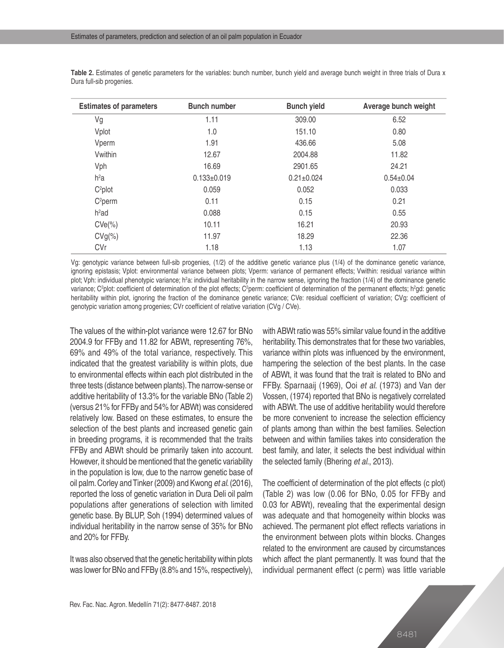| <b>Estimates of parameters</b> | <b>Bunch number</b> | <b>Bunch yield</b> | Average bunch weight |
|--------------------------------|---------------------|--------------------|----------------------|
| Vg                             | 1.11                | 309.00             | 6.52                 |
| Vplot                          | 1.0                 | 151.10             | 0.80                 |
| Vperm                          | 1.91                | 436.66             | 5.08                 |
| Vwithin                        | 12.67               | 2004.88            | 11.82                |
| Vph                            | 16.69               | 2901.65            | 24.21                |
| $h^2a$                         | $0.133 \pm 0.019$   | $0.21 \pm 0.024$   | $0.54 \pm 0.04$      |
| $C^2$ plot                     | 0.059               | 0.052              | 0.033                |
| C <sup>2</sup> perm            | 0.11                | 0.15               | 0.21                 |
| $h^2$ ad                       | 0.088               | 0.15               | 0.55                 |
| $CVe(\%)$                      | 10.11               | 16.21              | 20.93                |
| $CVg(\%)$                      | 11.97               | 18.29              | 22.36                |
| CVr                            | 1.18                | 1.13               | 1.07                 |
|                                |                     |                    |                      |

**Table 2.** Estimates of genetic parameters for the variables: bunch number, bunch yield and average bunch weight in three trials of Dura x Dura full-sib progenies.

Vg: genotypic variance between full-sib progenies, (1/2) of the additive genetic variance plus (1/4) of the dominance genetic variance, ignoring epistasis; Vplot: environmental variance between plots; Vperm: variance of permanent effects; Vwithin: residual variance within plot; Vph: individual phenotypic variance; h<sup>2</sup>a: individual heritability in the narrow sense, ignoring the fraction (1/4) of the dominance genetic variance; C²plot: coefficient of determination of the plot effects; Cºperm: coefficient of determination of the permanent effects; hºgd: genetic heritability within plot, ignoring the fraction of the dominance genetic variance; CVe: residual coefficient of variation; CVg: coefficient of genotypic variation among progenies; CVr coefficient of relative variation (CVg / CVe).

The values of the within-plot variance were 12.67 for BNo 2004.9 for FFBy and 11.82 for ABWt, representing 76%, 69% and 49% of the total variance, respectively. This indicated that the greatest variability is within plots, due to environmental effects within each plot distributed in the three tests (distance between plants). The narrow-sense or additive heritability of 13.3% for the variable BNo (Table 2) (versus 21% for FFBy and 54% for ABWt) was considered relatively low. Based on these estimates, to ensure the selection of the best plants and increased genetic gain in breeding programs, it is recommended that the traits FFBy and ABWt should be primarily taken into account. However, it should be mentioned that the genetic variability in the population is low, due to the narrow genetic base of oil palm. Corley and Tinker (2009) and Kwong *et al*. (2016), reported the loss of genetic variation in Dura Deli oil palm populations after generations of selection with limited genetic base. By BLUP, Soh (1994) determined values of individual heritability in the narrow sense of 35% for BNo and 20% for FFBy.

It was also observed that the genetic heritability within plots was lower for BNo and FFBy (8.8% and 15%, respectively), with ABWt ratio was 55% similar value found in the additive heritability. This demonstrates that for these two variables, variance within plots was influenced by the environment, hampering the selection of the best plants. In the case of ABWt, it was found that the trait is related to BNo and FFBy. Sparnaaij (1969), Ooi *et al*. (1973) and Van der Vossen, (1974) reported that BNo is negatively correlated with ABWt. The use of additive heritability would therefore be more convenient to increase the selection efficiency of plants among than within the best families. Selection between and within families takes into consideration the best family, and later, it selects the best individual within the selected family (Bhering *et al*., 2013).

The coefficient of determination of the plot effects (c plot) (Table 2) was low (0.06 for BNo, 0.05 for FFBy and 0.03 for ABWt), revealing that the experimental design was adequate and that homogeneity within blocks was achieved. The permanent plot effect reflects variations in the environment between plots within blocks. Changes related to the environment are caused by circumstances which affect the plant permanently. It was found that the individual permanent effect (c perm) was little variable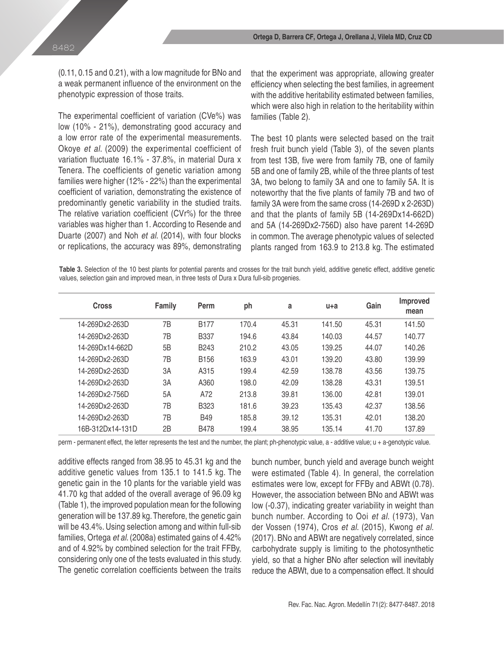(0.11, 0.15 and 0.21), with a low magnitude for BNo and a weak permanent influence of the environment on the phenotypic expression of those traits.

The experimental coefficient of variation (CVe%) was low (10% - 21%), demonstrating good accuracy and a low error rate of the experimental measurements. Okoye *et al*. (2009) the experimental coefficient of variation fluctuate 16.1% - 37.8%, in material Dura x Tenera. The coefficients of genetic variation among families were higher (12% - 22%) than the experimental coefficient of variation, demonstrating the existence of predominantly genetic variability in the studied traits. The relative variation coefficient (CVr%) for the three variables was higher than 1. According to Resende and Duarte (2007) and Noh *et al*. (2014), with four blocks or replications, the accuracy was 89%, demonstrating that the experiment was appropriate, allowing greater efficiency when selecting the best families, in agreement with the additive heritability estimated between families, which were also high in relation to the heritability within families (Table 2).

The best 10 plants were selected based on the trait fresh fruit bunch yield (Table 3), of the seven plants from test 13B, five were from family 7B, one of family 5B and one of family 2B, while of the three plants of test 3A, two belong to family 3A and one to family 5A. It is noteworthy that the five plants of family 7B and two of family 3A were from the same cross (14-269D x 2-263D) and that the plants of family 5B (14-269Dx14-662D) and 5A (14-269Dx2-756D) also have parent 14-269D in common. The average phenotypic values of selected plants ranged from 163.9 to 213.8 kg. The estimated

**Table 3.** Selection of the 10 best plants for potential parents and crosses for the trait bunch yield, additive genetic effect, additive genetic values, selection gain and improved mean, in three tests of Dura x Dura full-sib progenies.

| <b>Cross</b>     | <b>Family</b> | Perm             | ph    | a     | $u+a$  | Gain  | Improved<br>mean |
|------------------|---------------|------------------|-------|-------|--------|-------|------------------|
| 14-269Dx2-263D   | 7B            | <b>B177</b>      | 170.4 | 45.31 | 141.50 | 45.31 | 141.50           |
| 14-269Dx2-263D   | 7B            | <b>B337</b>      | 194.6 | 43.84 | 140.03 | 44.57 | 140.77           |
| 14-269Dx14-662D  | 5B            | <b>B243</b>      | 210.2 | 43.05 | 139.25 | 44.07 | 140.26           |
| 14-269Dx2-263D   | 7Β            | B <sub>156</sub> | 163.9 | 43.01 | 139.20 | 43.80 | 139.99           |
| 14-269Dx2-263D   | 3A            | A315             | 199.4 | 42.59 | 138.78 | 43.56 | 139.75           |
| 14-269Dx2-263D   | 3A            | A360             | 198.0 | 42.09 | 138.28 | 43.31 | 139.51           |
| 14-269Dx2-756D   | 5A            | A72              | 213.8 | 39.81 | 136.00 | 42.81 | 139.01           |
| 14-269Dx2-263D   | 7B            | <b>B323</b>      | 181.6 | 39.23 | 135.43 | 42.37 | 138.56           |
| 14-269Dx2-263D   | 7B            | <b>B49</b>       | 185.8 | 39.12 | 135.31 | 42.01 | 138.20           |
| 16B-312Dx14-131D | 2B            | <b>B478</b>      | 199.4 | 38.95 | 135.14 | 41.70 | 137.89           |

perm - permanent effect, the letter represents the test and the number, the plant; ph-phenotypic value, a - additive value; u + a-genotypic value.

additive effects ranged from 38.95 to 45.31 kg and the additive genetic values from 135.1 to 141.5 kg. The genetic gain in the 10 plants for the variable yield was 41.70 kg that added of the overall average of 96.09 kg (Table 1), the improved population mean for the following generation will be 137.89 kg. Therefore, the genetic gain will be 43.4%. Using selection among and within full-sib families, Ortega *et al*. (2008a) estimated gains of 4.42% and of 4.92% by combined selection for the trait FFBy, considering only one of the tests evaluated in this study. The genetic correlation coefficients between the traits bunch number, bunch yield and average bunch weight were estimated (Table 4). In general, the correlation estimates were low, except for FFBy and ABWt (0.78). However, the association between BNo and ABWt was low (-0.37), indicating greater variability in weight than bunch number. According to Ooi *et al*. (1973), Van der Vossen (1974), Cros *et al*. (2015), Kwong *et al.* (2017). BNo and ABWt are negatively correlated, since carbohydrate supply is limiting to the photosynthetic yield, so that a higher BNo after selection will inevitably reduce the ABWt, due to a compensation effect. It should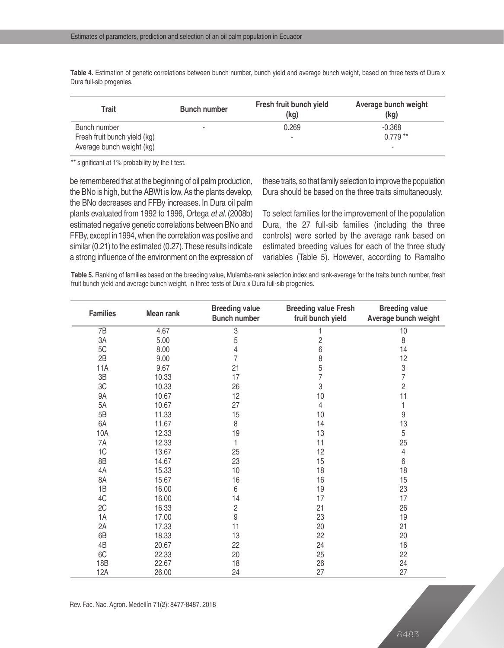**Table 4.** Estimation of genetic correlations between bunch number, bunch yield and average bunch weight, based on three tests of Dura x Dura full-sib progenies.

| Trait                                                                     | <b>Bunch number</b>      | Fresh fruit bunch yield<br>(kg) | Average bunch weight<br>(kg) |
|---------------------------------------------------------------------------|--------------------------|---------------------------------|------------------------------|
| Bunch number<br>Fresh fruit bunch yield (kg)<br>Average bunch weight (kg) | $\overline{\phantom{a}}$ | 0.269<br>۰                      | $-0.368$<br>$0.779**$        |

\*\* significant at 1% probability by the t test.

be remembered that at the beginning of oil palm production, the BNo is high, but the ABWt is low. As the plants develop, the BNo decreases and FFBy increases. In Dura oil palm plants evaluated from 1992 to 1996, Ortega *et al*. (2008b) estimated negative genetic correlations between BNo and FFBy, except in 1994, when the correlation was positive and similar (0.21) to the estimated (0.27). These results indicate a strong influence of the environment on the expression of

these traits, so that family selection to improve the population Dura should be based on the three traits simultaneously.

To select families for the improvement of the population Dura, the 27 full-sib families (including the three controls) were sorted by the average rank based on estimated breeding values for each of the three study variables (Table 5). However, according to Ramalho

**Table 5.** Ranking of families based on the breeding value, Mulamba-rank selection index and rank-average for the traits bunch number, fresh fruit bunch yield and average bunch weight, in three tests of Dura x Dura full-sib progenies.

| <b>Families</b> | Mean rank | <b>Breeding value</b><br><b>Bunch number</b> | <b>Breeding value Fresh</b><br>fruit bunch yield | <b>Breeding value</b><br>Average bunch weight |
|-----------------|-----------|----------------------------------------------|--------------------------------------------------|-----------------------------------------------|
| 7B              | 4.67      | $\sqrt{3}$                                   |                                                  | 10                                            |
| 3A              | 5.00      | 5                                            |                                                  | 8                                             |
| 5C              | 8.00      | 4                                            | $\frac{2}{6}$                                    | 14                                            |
| 2B              | 9.00      | 7                                            | 8                                                | 12                                            |
| <b>11A</b>      | 9.67      | 21                                           | 5                                                | $\frac{3}{7}$                                 |
| 3B              | 10.33     | 17                                           | $\overline{7}$                                   |                                               |
| 3C              | 10.33     | 26                                           | 3                                                | $\overline{c}$                                |
| 9A              | 10.67     | 12                                           | 10                                               | 11                                            |
| 5A              | 10.67     | 27                                           | 4                                                | 1                                             |
| 5B              | 11.33     | 15                                           | 10                                               | 9                                             |
| 6A              | 11.67     | 8                                            | 14                                               | 13                                            |
| 10A             | 12.33     | 19                                           | 13                                               | 5                                             |
| 7A              | 12.33     | 1                                            | 11                                               | 25                                            |
| 1C              | 13.67     | 25                                           | 12                                               | 4                                             |
| 8B              | 14.67     | 23                                           | 15                                               | 6                                             |
| 4A              | 15.33     | 10                                           | 18                                               | 18                                            |
| 8A              | 15.67     | 16                                           | 16                                               | 15                                            |
| 1B              | 16.00     | 6                                            | 19                                               | 23                                            |
| 4C              | 16.00     | 14                                           | 17                                               | 17                                            |
| 2C              | 16.33     | $\sqrt{2}$                                   | 21                                               | 26                                            |
| 1A              | 17.00     | 9                                            | 23                                               | 19                                            |
| 2A              | 17.33     | 11                                           | 20                                               | 21                                            |
| 6B              | 18.33     | 13                                           | 22                                               | 20                                            |
| 4B              | 20.67     | 22                                           | 24                                               | 16                                            |
| 6C              | 22.33     | 20                                           | 25                                               | 22                                            |
| 18B             | 22.67     | 18                                           | 26                                               | 24                                            |
| 12A             | 26.00     | 24                                           | 27                                               | 27                                            |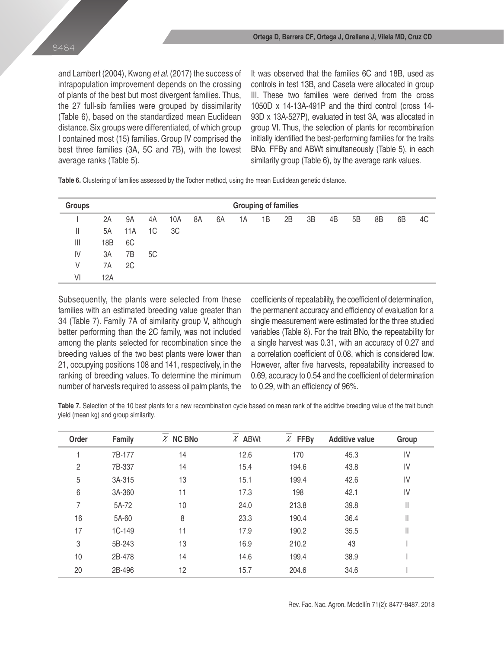and Lambert (2004), Kwong *et al*. (2017) the success of intrapopulation improvement depends on the crossing of plants of the best but most divergent families. Thus, the 27 full-sib families were grouped by dissimilarity (Table 6), based on the standardized mean Euclidean distance. Six groups were differentiated, of which group I contained most (15) families. Group IV comprised the best three families (3A, 5C and 7B), with the lowest average ranks (Table 5).

It was observed that the families 6C and 18B, used as controls in test 13B, and Caseta were allocated in group III. These two families were derived from the cross 1050D x 14-13A-491P and the third control (cross 14- 93D x 13A-527P), evaluated in test 3A, was allocated in group VI. Thus, the selection of plants for recombination initially identified the best-performing families for the traits BNo, FFBy and ABWt simultaneously (Table 5), in each similarity group (Table 6), by the average rank values.

**Table 6.** Clustering of families assessed by the Tocher method, using the mean Euclidean genetic distance.

| <b>Groups</b> |     |     | <b>Grouping of families</b> |     |    |    |    |    |    |    |    |    |    |    |    |
|---------------|-----|-----|-----------------------------|-----|----|----|----|----|----|----|----|----|----|----|----|
|               | 2A  | 9A  | 4A                          | 10A | 8A | 6A | 1А | 1B | 2B | 3B | 4B | 5B | 8B | 6B | 4C |
| Ш             | 5A  | 11A | 1C                          | 3C  |    |    |    |    |    |    |    |    |    |    |    |
| $\mathbb{H}$  | 18B | 6C  |                             |     |    |    |    |    |    |    |    |    |    |    |    |
| IV            | 3A  | 7B  | 5C                          |     |    |    |    |    |    |    |    |    |    |    |    |
| V             | 7A  | 2C  |                             |     |    |    |    |    |    |    |    |    |    |    |    |
| VI            | 12A |     |                             |     |    |    |    |    |    |    |    |    |    |    |    |

Subsequently, the plants were selected from these families with an estimated breeding value greater than 34 (Table 7). Family 7A of similarity group V, although better performing than the 2C family, was not included among the plants selected for recombination since the breeding values of the two best plants were lower than 21, occupying positions 108 and 141, respectively, in the ranking of breeding values. To determine the minimum number of harvests required to assess oil palm plants, the coefficients of repeatability, the coefficient of determination, the permanent accuracy and efficiency of evaluation for a single measurement were estimated for the three studied variables (Table 8). For the trait BNo, the repeatability for a single harvest was 0.31, with an accuracy of 0.27 and a correlation coefficient of 0.08, which is considered low. However, after five harvests, repeatability increased to 0.69, accuracy to 0.54 and the coefficient of determination to 0.29, with an efficiency of 96%.

**Table 7.** Selection of the 10 best plants for a new recombination cycle based on mean rank of the additive breeding value of the trait bunch yield (mean kg) and group similarity.

| Order          | Family   | $\chi$ NC BNo | $\chi$ ABWt | $x$ FFBy | <b>Additive value</b> | Group         |
|----------------|----------|---------------|-------------|----------|-----------------------|---------------|
|                | 7B-177   | 14            | 12.6        | 170      | 45.3                  | IV            |
| $\overline{c}$ | 7B-337   | 14            | 15.4        | 194.6    | 43.8                  | IV            |
| 5              | 3A-315   | 13            | 15.1        | 199.4    | 42.6                  | IV            |
| $6\,$          | 3A-360   | 11            | 17.3        | 198      | 42.1                  | IV            |
| 7              | 5A-72    | 10            | 24.0        | 213.8    | 39.8                  | Ш             |
| 16             | 5A-60    | 8             | 23.3        | 190.4    | 36.4                  | II            |
| 17             | $1C-149$ | 11            | 17.9        | 190.2    | 35.5                  | $\mathop{  }$ |
| 3              | 5B-243   | 13            | 16.9        | 210.2    | 43                    |               |
| 10             | 2B-478   | 14            | 14.6        | 199.4    | 38.9                  |               |
| 20             | 2B-496   | 12            | 15.7        | 204.6    | 34.6                  |               |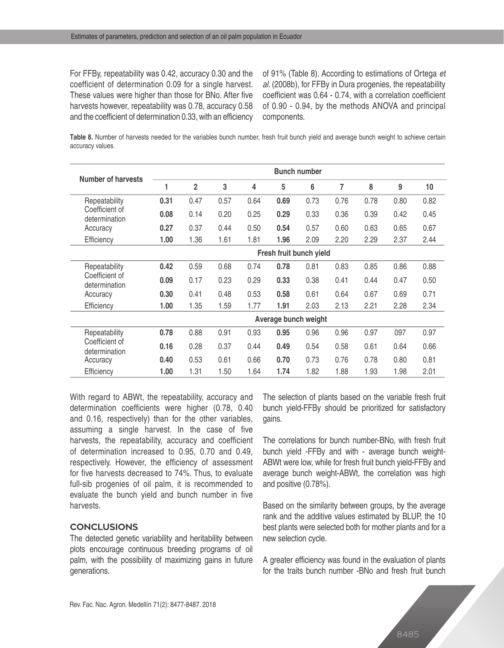For FFBy, repeatability was 0.42, accuracy 0.30 and the coefficient of determination 0.09 for a single harvest. These values were higher than those for BNo. After five harvests however, repeatability was 0.78, accuracy 0.58 and the coefficient of determination 0.33, with an efficiency

of 91% (Table 8). According to estimations of Ortega *et al*. (2008b), for FFBy in Dura progenies, the repeatability coefficient was 0.64 - 0.74, with a correlation coefficient of 0.90 - 0.94, by the methods ANOVA and principal components.

**Table 8.** Number of harvests needed for the variables bunch number, fresh fruit bunch yield and average bunch weight to achieve certain accuracy values.

| Number of harvests              |      |                |      |      |                         | <b>Bunch number</b> |      |      |      |      |  |  |  |  |  |  |
|---------------------------------|------|----------------|------|------|-------------------------|---------------------|------|------|------|------|--|--|--|--|--|--|
|                                 | 1    | $\overline{2}$ | 3    | 4    | 5                       | 6                   | 7    | 8    | 9    | 10   |  |  |  |  |  |  |
| Repeatability                   | 0.31 | 0.47           | 0.57 | 0.64 | 0.69                    | 0.73                | 0.76 | 0.78 | 0.80 | 0.82 |  |  |  |  |  |  |
| Coefficient of<br>determination | 0.08 | 0.14           | 0.20 | 0.25 | 0.29                    | 0.33                | 0.36 | 0.39 | 0.42 | 0.45 |  |  |  |  |  |  |
| Accuracy                        | 0.27 | 0.37           | 0.44 | 0.50 | 0.54                    | 0.57                | 0.60 | 0.63 | 0.65 | 0.67 |  |  |  |  |  |  |
| Efficiency                      | 1.00 | 1.36           | 1.61 | 1.81 | 1.96                    | 2.09                | 2.20 | 2.29 | 2.37 | 2.44 |  |  |  |  |  |  |
|                                 |      |                |      |      | Fresh fruit bunch yield |                     |      |      |      |      |  |  |  |  |  |  |
| Repeatability                   | 0.42 | 0.59           | 0.68 | 0.74 | 0.78                    | 0.81                | 0.83 | 0.85 | 0.86 | 0.88 |  |  |  |  |  |  |
| Coefficient of<br>determination | 0.09 | 0.17           | 0.23 | 0.29 | 0.33                    | 0.38                | 0.41 | 0.44 | 0.47 | 0.50 |  |  |  |  |  |  |
| Accuracy                        | 0.30 | 0.41           | 0.48 | 0.53 | 0.58                    | 0.61                | 0.64 | 0.67 | 0.69 | 0.71 |  |  |  |  |  |  |
| Efficiency                      | 1.00 | 1.35           | 1.59 | 1.77 | 1.91                    | 2.03                | 2.13 | 2.21 | 2.28 | 2.34 |  |  |  |  |  |  |
|                                 |      |                |      |      | Average bunch weight    |                     |      |      |      |      |  |  |  |  |  |  |
| Repeatability                   | 0.78 | 0.88           | 0.91 | 0.93 | 0.95                    | 0.96                | 0.96 | 0.97 | 097  | 0.97 |  |  |  |  |  |  |
| Coefficient of<br>determination | 0.16 | 0.28           | 0.37 | 0.44 | 0.49                    | 0.54                | 0.58 | 0.61 | 0.64 | 0.66 |  |  |  |  |  |  |
| Accuracy                        | 0.40 | 0.53           | 0.61 | 0.66 | 0.70                    | 0.73                | 0.76 | 0.78 | 0.80 | 0.81 |  |  |  |  |  |  |
| Efficiency                      | 1.00 | 1.31           | 1.50 | 1.64 | 1.74                    | 1.82                | 1.88 | 1.93 | 1.98 | 2.01 |  |  |  |  |  |  |

With regard to ABWt, the repeatability, accuracy and determination coefficients were higher (0.78, 0.40 and 0.16, respectively) than for the other variables, assuming a single harvest. In the case of five harvests, the repeatability, accuracy and coefficient of determination increased to 0.95, 0.70 and 0.49, respectively. However, the efficiency of assessment for five harvests decreased to 74%. Thus, to evaluate full-sib progenies of oil palm, it is recommended to evaluate the bunch yield and bunch number in five harvests.

# **CONCLUSIONS**

The detected genetic variability and heritability between plots encourage continuous breeding programs of oil palm, with the possibility of maximizing gains in future generations.

The selection of plants based on the variable fresh fruit bunch yield-FFBy should be prioritized for satisfactory gains.

The correlations for bunch number-BNo, with fresh fruit bunch yield -FFBy and with - average bunch weight-ABWt were low, while for fresh fruit bunch yield-FFBy and average bunch weight-ABWt, the correlation was high and positive (0.78%).

Based on the similarity between groups, by the average rank and the additive values estimated by BLUP, the 10 best plants were selected both for mother plants and for a new selection cycle.

A greater efficiency was found in the evaluation of plants for the traits bunch number -BNo and fresh fruit bunch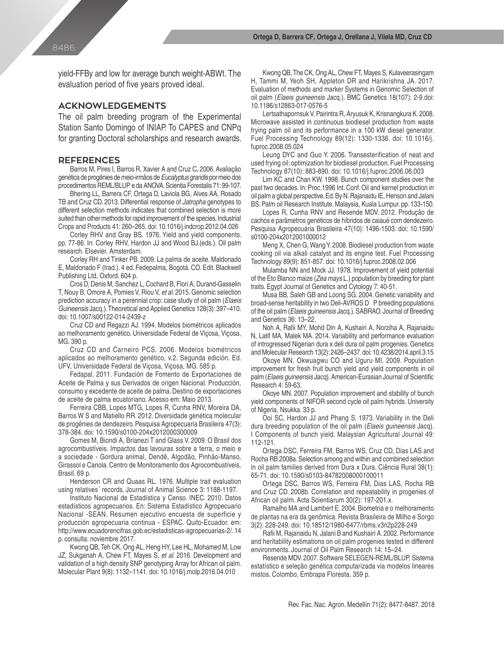yield-FFBy and low for average bunch weight-ABWt. The evaluation period of five years proved ideal.

### **ACKNOWLEDGEMENTS**

The oil palm breeding program of the Experimental Station Santo Domingo of INIAP. To CAPES and CNPq for granting Doctoral scholarships and research awards.

#### **REFERENCES**

Barros M, Pires I, Barros R, Xavier A and Cruz C**.** 2006. Avaliação genética de progênies de meio-irmãos de *Eucalyptus grandis* por meio dos procedimentos REML/BLUP e da ANOVA. Scientia Forestalis 71: 99-107.

Bhering LL, Barrera CF, Ortega D, Laviola BG, Alves AA, Rosado TB and Cruz CD. 2013. Differential response of *Jatropha* genotypes to different selection methods indicates that combined selection is more suited than other methods for rapid improvement of the species. Industrial Crops and Products 41: 260–265. doi: 10.1016/j.indcrop.2012.04.026

Corley RHV and Gray BS. 1976. Yield and yield components. pp. 77-86. In: Corley RHV, Hardon JJ and Wood BJ.(eds.). Oil palm research. Elsevier, Amsterdam.

Corley RH and Tinker PB. 2009. La palma de aceite. Maldonado E, Maldonado F (trad.). 4 ed. Fedepalma, Bogotá. CO. Edit. Blackwell Publishing Ltd, Oxford. 604 p.

Cros D, Denis M, Sanchez L, Cochard B, Flori A, Durand-Gasselin T, Nouy B, Omore A, Pomies V, Riou V, *et al*. 2015. Genomic selection prediction accuracy in a perennial crop: case study of oil palm (*Elaeis Guineensis* Jacq.). Theoretical and Applied Genetics 128(3): 397–410. doi: 10.1007/s00122-014-2439-z

Cruz CD and Regazzi AJ. 1994. Modelos biométricos aplicados ao melhoramento genético. Universidade Federal de Viçosa, Viçosa, MG. 390 p.

Cruz CD and Carneiro PCS. 2006. Modelos biométricos aplicados ao melhoramento genético, v.2. Segunda edición. Ed. UFV, Universidade Federal de Viçosa, Viçosa, MG. 585 p.

Fedapal. 2011. Fundación de Fomento de Exportaciones de Aceite de Palma y sus Derivados de origen Nacional. Producción, consumo y excedente de aceite de palma. Destino de exportaciones de aceite de palma ecuatoriano. Acesso em: Maio 2013.

Ferreira CBB, Lopes MTG, Lopes R, Cunha RNV, Moreira DA, Barros W S and Matiello RR. 2012. Diversidade genética molecular de progênies de dendezeiro. Pesquisa Agropecuaria Brasileira 47(3): 378-384. doi: 10.1590/s0100-204x2012000300009

Gomes M, Biondi A, Brianezi T and Glass V. 2009. O Brasil dos agrocombustíveis. Impactos das lavouras sobre a terra, o meio e a sociedade - Gordura animal, Dendê, Algodão, Pinhão-Manso, Girassol e Canola. Centro de Monitoramento dos Agrocombustíveis, Brasil. 69 p.

Henderson CR and Quaas RL. 1976. Multiple trait evaluation using relatives´ records. Journal of Animal Science 3: 1188-1197.

Instituto Nacional de Estadística y Censo. INEC. 2010. Datos estadísticos agropecuarios. En: Sistema Estadístico Agropecuario Nacional -SEAN. Resumen ejecutivo encuesta de superficie y producción agropecuaria continua - ESPAC. Quito-Ecuador. em: http://www.ecuadorencifras.gob.ec/estadisticas-agropecuarias-2/. 14 p. consulta: noviembre 2017.

Kwong QB, Teh CK, Ong AL, Heng HY, Lee HL, Mohamed M, Low JZ, Sukganah A, Chew FT, Mayes S, *et al*. 2016. Development and validation of a high density SNP genotyping Array for African oil palm. Molecular Plant 9(8): 1132–1141. doi: 10.1016/j.molp.2016.04.010

Kwong QB, The CK, Ong AL, Chew FT, Mayes S, Kulaveerasingam H, Tammi M, Yeoh SH, Appleton DR and Harikrishna JA. 2017. Evaluation of methods and marker Systems in Genomic Selection of oil palm (*Elaeis guineensis* Jacq.). BMC Genetics 18(107): 2-9.doi: 10.1186/s12863-017-0576-5

Lertsathapornsuk V, Pairintra R, Aryusuk K, Krisnangkura K. 2008. Microwave assisted in continuous biodiesel production from waste frying palm oil and its performance in a 100 kW diesel generator. Fuel Processing Technology 89(12): 1330-1336. doi: 10.1016/j. fuproc.2008.05.024

Leung DYC and Guo Y. 2006. Transesterification of neat and used frying oil: optimization for biodiesel production. Fuel Processing Technology 87(10): 883-890. doi: 10.1016/j.fuproc.2006.06.003

Lim KC and Chan KW. 1998. Bunch component studies over the past two decades. In: Proc.1996 Int. Conf. Oil and kernel production in oil palm a global perspective. Ed. By N. Rajanaidu IE, Henson and Jalani BS. Palm oil Research Institute. Malaysia, Kuala Lumpur. pp. 133-150.

Lopes R, Cunha RNV and Resende MDV. 2012. Produção de cachos e parâmetros genéticos de híbridos de caiaué com dendezeiro. Pesquisa Agropecuária Brasileira 47(10): 1496-1503. doi: 10.1590/ s0100-204x2012001000012

Meng X, Chen G, Wang Y. 2008. Biodiesel production from waste cooking oil via alkali catalyst and its engine test. Fuel Processing Technology 89(9): 851-857. doi: 10.1016/j.fuproc.2008.02.006

Mulamba NN and Mock JJ. 1978. Improvement of yield potential of the Eto Blanco maize (*Zea mays* L.) population by breeding for plant traits. Egypt Journal of Genetics and Cytology 7: 40-51.

Musa BB, Saleh GB and Loong SG. 2004. Genetic variability and broad-sense heritability in two Deli-AVROS D P breeding populations of the oil palm (*Elaeis guineensis* Jacq.). SABRAO. Journal of Breeding and Genetics 36: 13–22.

Noh A, Rafii MY, Mohd Din A, Kushairi A, Norziha A, Rajanaidu N, Latif MA, Malek MA. 2014. Variability and performance evaluation of introgressed Nigerian dura x deli dura oil palm progenies. Genetics and Molecular Research 13(2): 2426–2437. doi: 10.4238/2014.april.3.15

Okoye MN, Okwuagwu CO and Uguru MI. 2009. Population improvement for fresh fruit bunch yield and yield components in oil palm (*Elaeis guineensis* Jacq). American-Eurasian Journal of Scientific Research 4: 59-63.

Okoye MN. 2007. Population improvement and stability of bunch yield components of NIFOR second cycle oil palm hybrids. University of Nigeria, Nsukka. 33 p.

Ooi SC, Hardon JJ and Phang S. 1973. Variability in the Deli dura breeding population of the oil palm (*Elaeis guineensis* Jacq). I Components of bunch yield. Malaysian Agricultural Journal 49: 112-121.

Ortega DSC, Ferreira FM, Barros WS, Cruz CD, Dias LAS and Rocha RB 2008a. Selection among and within and combined selection in oil palm families derived from Dura x Dura. Ciência Rural 38(1): 65-71. doi: 10.1590/s0103-84782008000100011

Ortega DSC, Barros WS, Ferreira FM, Dias LAS, Rocha RB and Cruz CD. 2008b. Correlation and repeatability in progenies of African oil palm. Acta Scientiarum 30(2): 197-201.x.

Ramalho MA and Lambert E. 2004. Biometria e o melhoramento de plantas na era da genômica. Revista Brasileira de Milho e Sorgo 3(2): 228-249. doi: 10.18512/1980-6477/rbms.v3n2p228-249

Rafii M, Rajanaidu N, Jalani B and Kushairi A. 2002. Performance and heritability estimations on oil palm progenies tested in different environments. Journal of Oil Palm Research 14: 15–24.

Resende MDV. 2007. Software SELEGEN-REML/BLUP, Sistema estatístico e seleção genética computarizada via modelos lineares mistos. Colombo, Embrapa Floresta. 359 p.